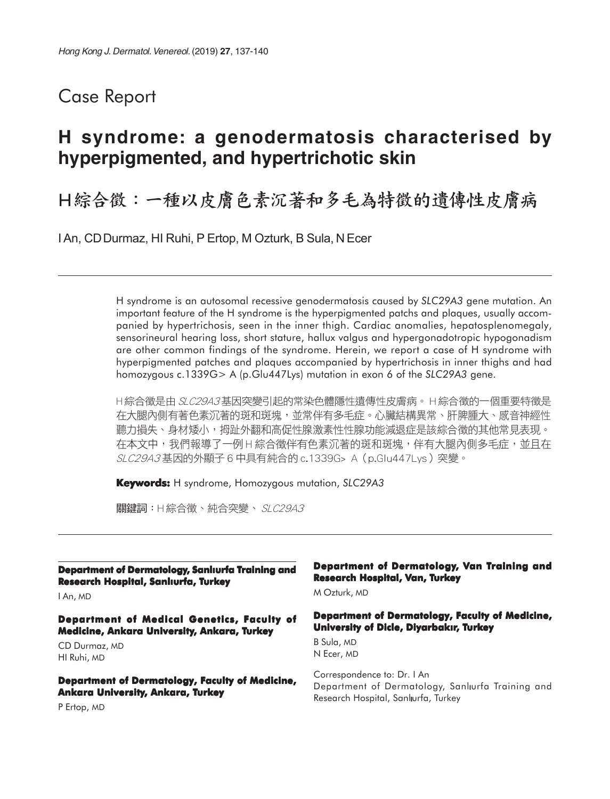# Case Report

# **H syndrome: a genodermatosis characterised by hyperpigmented, and hypertrichotic skin**

H綜合徵:一種以皮膚色素沉著和多毛為特徵的遺傳性皮膚病

I An, CD Durmaz, HI Ruhi, P Ertop, M Ozturk, B Sula, N Ecer

H syndrome is an autosomal recessive genodermatosis caused by *SLC29A3* gene mutation. An important feature of the H syndrome is the hyperpigmented patchs and plaques, usually accompanied by hypertrichosis, seen in the inner thigh. Cardiac anomalies, hepatosplenomegaly, sensorineural hearing loss, short stature, hallux valgus and hypergonadotropic hypogonadism are other common findings of the syndrome. Herein, we report a case of H syndrome with hyperpigmented patches and plaques accompanied by hypertrichosis in inner thighs and had homozygous c.1339G> A (p.Glu447Lys) mutation in exon 6 of the *SLC29A3* gene.

H綜合徵是由 SLC29A3基因突變引起的常染色體隱性遺傳性皮膚病。H綜合徵的一個重要特徵是 在大腿內側有著色素沉著的斑和斑塊,並常伴有多毛症。心臟結構異常、肝脾腫大、感音神經性 聽力損失、身材矮小,拇趾外翻和高促性腺激素性性腺功能減退症是該綜合徵的其他常見表現。 在本文中,我們報導了一例H綜合徵伴有色素沉著的斑和斑塊,伴有大腿內側多毛症,並且在 SLC29A3基因的外顯子6中具有純合的 c.1339G> A (p.Glu447Lys) 突變。

**Keywords:** H syndrome, Homozygous mutation, *SLC29A3*

關鍵詞:H綜合徵、純合突變、 SLC29A3

**Department of Dermatology, Sanliurfa Training and Research Hospital, Sanlıurfa, Turkey** 

I An, MD

**Department of Medical Genetics, Faculty of Medicine, Ankara University, Ankara, Turkey**

CD Durmaz, MD HI Ruhi, MD

**Department of Dermatology, Faculty of Medicine, Ankara University, Ankara, Turkey**

#### **Department of Dermatology, Van Training and Research Hospital, Van, Turkey**

M Ozturk, MD

#### **Department of Dermatology, Faculty of Medicine, University of Dicle, DiyarbakIr, Turkey**

B Sula, MD N Ecer, MD

Correspondence to: Dr. I An Department of Dermatology, Sanlwrfa Training and Research Hospital, Sanlurfa, Turkey

P Ertop, MD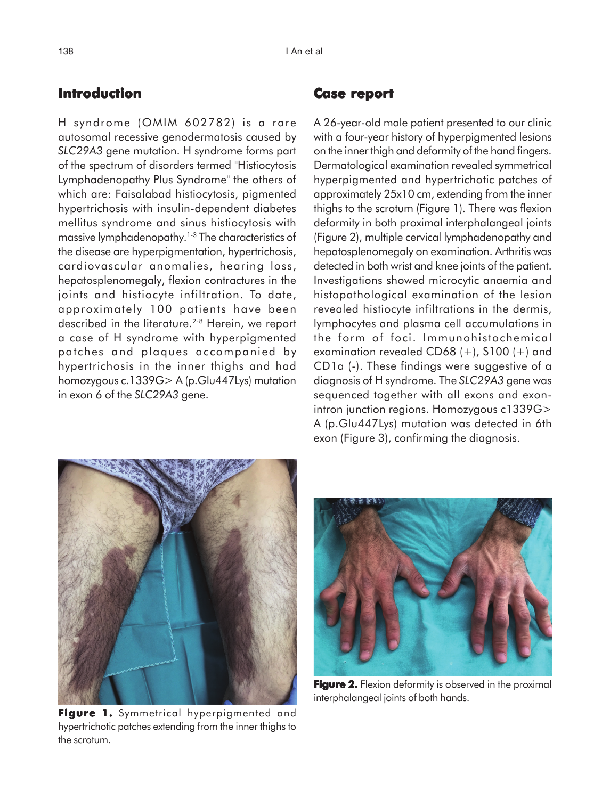## **Introduction**

H syndrome (OMIM 602782) is a rare autosomal recessive genodermatosis caused by *SLC29A3* gene mutation. H syndrome forms part of the spectrum of disorders termed "Histiocytosis Lymphadenopathy Plus Syndrome" the others of which are: Faisalabad histiocytosis, pigmented hypertrichosis with insulin-dependent diabetes mellitus syndrome and sinus histiocytosis with massive lymphadenopathy.<sup>1-3</sup> The characteristics of the disease are hyperpigmentation, hypertrichosis, cardiovascular anomalies, hearing loss, hepatosplenomegaly, flexion contractures in the joints and histiocyte infiltration. To date, approximately 100 patients have been described in the literature.<sup>2-8</sup> Herein, we report a case of H syndrome with hyperpigmented patches and plaques accompanied by hypertrichosis in the inner thighs and had homozygous c.1339G> A (p.Glu447Lys) mutation in exon 6 of the *SLC29A3* gene.

## **Case report report**

A 26-year-old male patient presented to our clinic with a four-year history of hyperpigmented lesions on the inner thigh and deformity of the hand fingers. Dermatological examination revealed symmetrical hyperpigmented and hypertrichotic patches of approximately 25x10 cm, extending from the inner thighs to the scrotum (Figure 1). There was flexion deformity in both proximal interphalangeal joints (Figure 2), multiple cervical lymphadenopathy and hepatosplenomegaly on examination. Arthritis was detected in both wrist and knee joints of the patient. Investigations showed microcytic anaemia and histopathological examination of the lesion revealed histiocyte infiltrations in the dermis, lymphocytes and plasma cell accumulations in the form of foci. Immunohistochemical examination revealed CD68 (+), S100 (+) and CD1a (-). These findings were suggestive of a diagnosis of H syndrome. The *SLC29A3* gene was sequenced together with all exons and exonintron junction regions. Homozygous c1339G> A (p.Glu447Lys) mutation was detected in 6th exon (Figure 3), confirming the diagnosis.



**Figure 1.** Symmetrical hyperpigmented and hypertrichotic patches extending from the inner thighs to the scrotum.



**Figure 2.** Flexion deformity is observed in the proximal interphalangeal joints of both hands.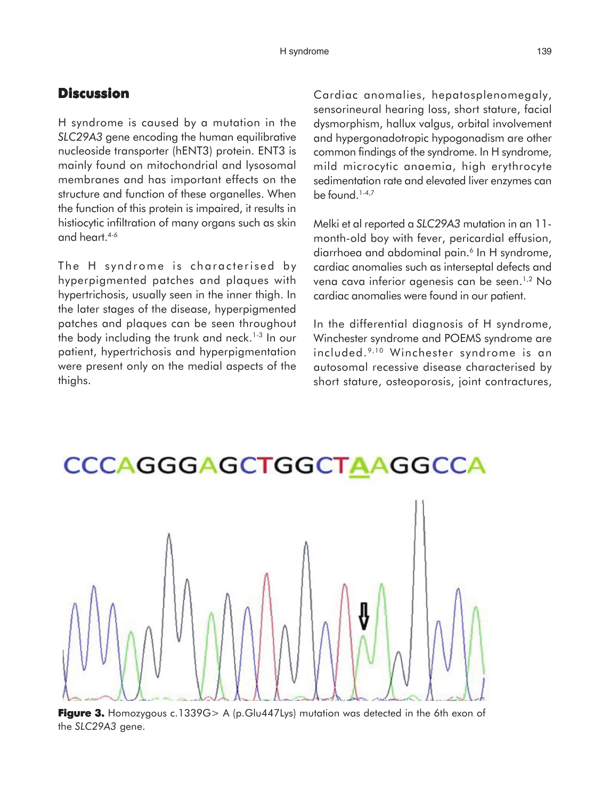## **Discussion**

H syndrome is caused by a mutation in the *SLC29A3* gene encoding the human equilibrative nucleoside transporter (hENT3) protein. ENT3 is mainly found on mitochondrial and lysosomal membranes and has important effects on the structure and function of these organelles. When the function of this protein is impaired, it results in histiocytic infiltration of many organs such as skin and heart.4-6

The H syndrome is characterised by hyperpigmented patches and plaques with hypertrichosis, usually seen in the inner thigh. In the later stages of the disease, hyperpigmented patches and plaques can be seen throughout the body including the trunk and neck.<sup>1-3</sup> In our patient, hypertrichosis and hyperpigmentation were present only on the medial aspects of the thighs.

Cardiac anomalies, hepatosplenomegaly, sensorineural hearing loss, short stature, facial dysmorphism, hallux valgus, orbital involvement and hypergonadotropic hypogonadism are other common findings of the syndrome. In H syndrome, mild microcytic anaemia, high erythrocyte sedimentation rate and elevated liver enzymes can be found.1-4,7

Melki et al reported a *SLC29A3* mutation in an 11 month-old boy with fever, pericardial effusion, diarrhoea and abdominal pain.<sup>6</sup> In H syndrome, cardiac anomalies such as interseptal defects and vena cava inferior agenesis can be seen.1,2 No cardiac anomalies were found in our patient.

In the differential diagnosis of H syndrome, Winchester syndrome and POEMS syndrome are included. 9,10 Winchester syndrome is an autosomal recessive disease characterised by short stature, osteoporosis, joint contractures,



**CCCAGGGAGCTGGCTAAGGCCA** 

#### **Figure 3.** Homozygous c.1339G> A (p.Glu447Lys) mutation was detected in the 6th exon of the *SLC29A3* gene.